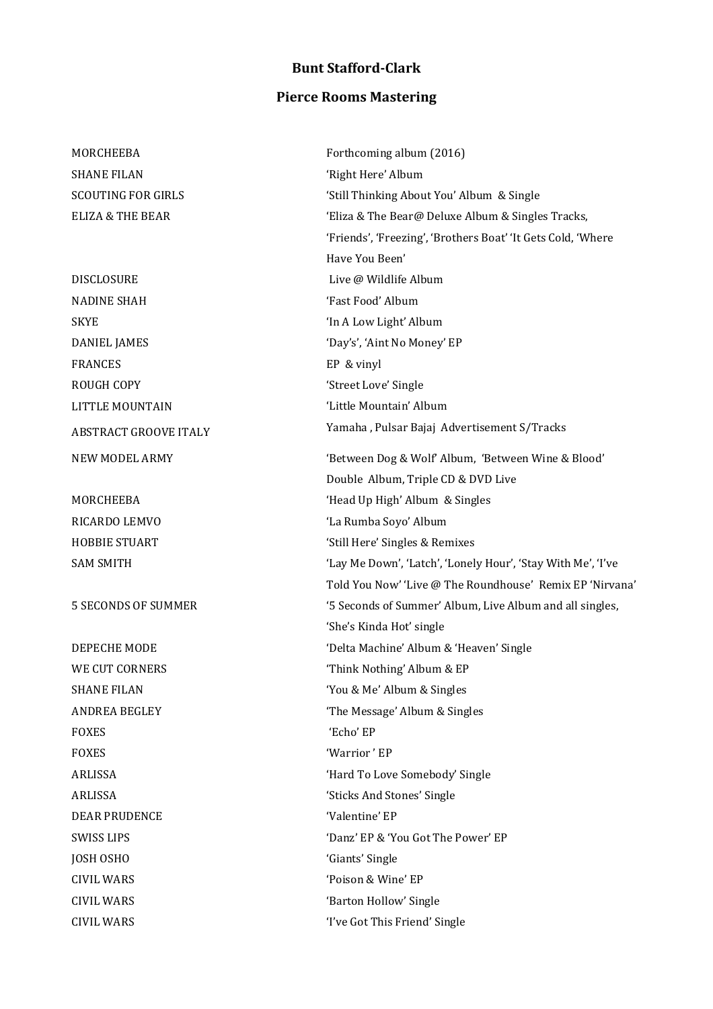## **Bunt Stafford-Clark**

## **Pierce Rooms Mastering**

MORCHEEBA SHANE FILAN SCOUTING FOR GIRLS ELIZA & THE BEAR

DISCLOSURE NADINE SHAH SKYE DANIEL JAMES FRANCES ROUGH COPY LITTLE MOUNTAIN ABSTRACT GROOVE ITALY NEW MODEL ARMY

MORCHEEBA RICARDO LEMVO HOBBIE STUART SAM SMITH

5 SECONDS OF SUMMER

DEPECHE MODE WE CUT CORNERS SHANE FILAN ANDREA BEGLEY FOXES FOXES 'Warrior ' EP DEAR PRUDENCE 'Valentine' EP JOSH OSHO 'Giants' Single CIVIL WARS 'Poison & Wine' EP CIVIL WARS 'I've Got This Friend' Single

Forthcoming album (2016) 'Right Here' Album 'Still Thinking About You' Album & Single 'Eliza & The Bear@ Deluxe Album & Singles Tracks, 'Friends', 'Freezing', 'Brothers Boat' 'It Gets Cold, 'Where Have You Been' Live @ Wildlife Album 'Fast Food' Album 'In A Low Light' Album 'Day's', 'Aint No Money' EP EP & vinyl 'Street Love' Single 'Little Mountain' Album Yamaha , Pulsar Bajaj Advertisement S/Tracks 'Between Dog & Wolf' Album, 'Between Wine & Blood' Double Album, Triple CD & DVD Live 'Head Up High' Album & Singles 'La Rumba Soyo' Album 'Still Here' Singles & Remixes 'Lay Me Down', 'Latch', 'Lonely Hour', 'Stay With Me', 'I've Told You Now' 'Live @ The Roundhouse' Remix EP 'Nirvana' '5 Seconds of Summer' Album, Live Album and all singles, 'She's Kinda Hot' single 'Delta Machine' Album & 'Heaven' Single 'Think Nothing' Album & EP 'You & Me' Album & Singles 'The Message' Album & Singles 'Echo' EP ARLISSA 'Hard To Love Somebody' Single ARLISSA 'Sticks And Stones' Single SWISS LIPS 'Danz' EP & 'You Got The Power' EP CIVIL WARS 'Barton Hollow' Single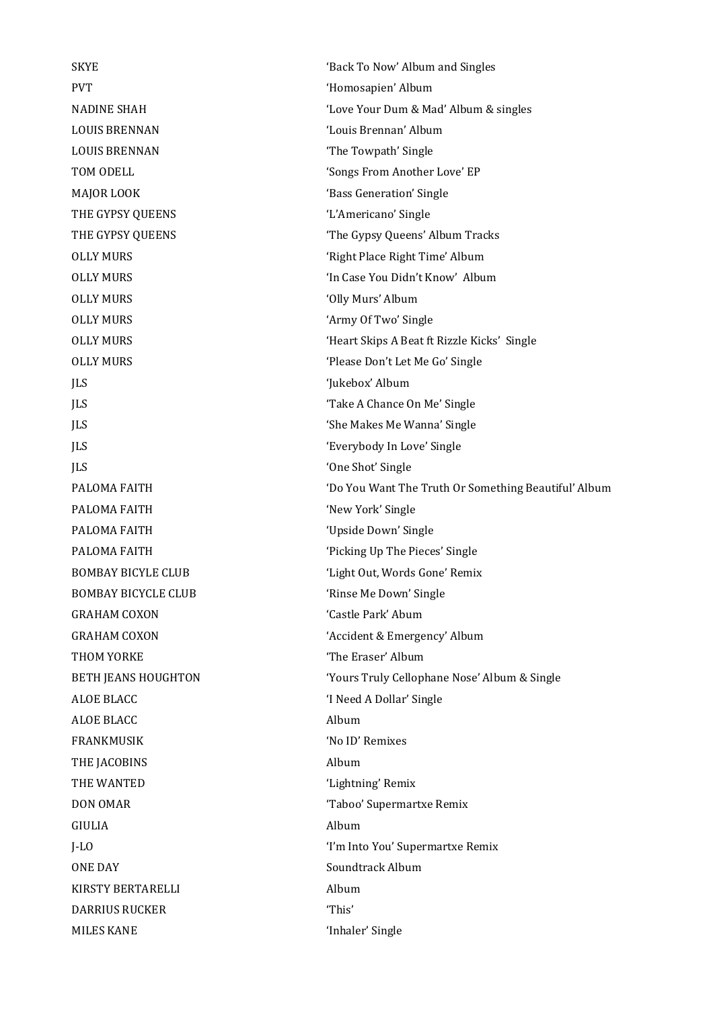PVT 'Homosapien' Album LOUIS BRENNAN 'Louis Brennan' Album LOUIS BRENNAN 'The Towpath' Single MAJOR LOOK 'Bass Generation' Single THE GYPSY QUEENS 'L'Americano' Single OLLY MURS 'Olly Murs' Album OLLY MURS 'Army Of Two' Single JLS 'Jukebox' Album JLS 'Take A Chance On Me' Single JLS 'She Makes Me Wanna' Single JLS 'Everybody In Love' Single JLS 'One Shot' Single PALOMA FAITH 'New York' Single PALOMA FAITH 'Upside Down' Single PALOMA FAITH 'Picking Up The Pieces' Single BOMBAY BICYCLE CLUB 'Rinse Me Down' Single GRAHAM COXON 'Castle Park' Abum THOM YORKE THOM YORKE ALOE BLACC 'I Need A Dollar' Single ALOE BLACC Album FRANKMUSIK 'No ID' Remixes THE JACOBINS Album THE WANTED  $'$  Lightning' Remix DON OMAR 'Taboo' Supermartxe Remix GIULIA Album ONE DAY Soundtrack Album KIRSTY BERTARELLI Album DARRIUS RUCKER This' MILES KANE 'Inhaler' Single

SKYE 'Back To Now' Album and Singles NADINE SHAH 'Love Your Dum & Mad' Album & singles TOM ODELL 'Songs From Another Love' EP THE GYPSY QUEENS THE GYPSY Queens' Album Tracks OLLY MURS 'Right Place Right Time' Album OLLY MURS 'In Case You Didn't Know' Album OLLY MURS 'Heart Skips A Beat ft Rizzle Kicks' Single OLLY MURS 'Please Don't Let Me Go' Single PALOMA FAITH 'Do You Want The Truth Or Something Beautiful' Album BOMBAY BICYLE CLUB 'Light Out, Words Gone' Remix GRAHAM COXON 'Accident & Emergency' Album BETH JEANS HOUGHTON 'Yours Truly Cellophane Nose' Album & Single J-LO 'I'm Into You' Supermartxe Remix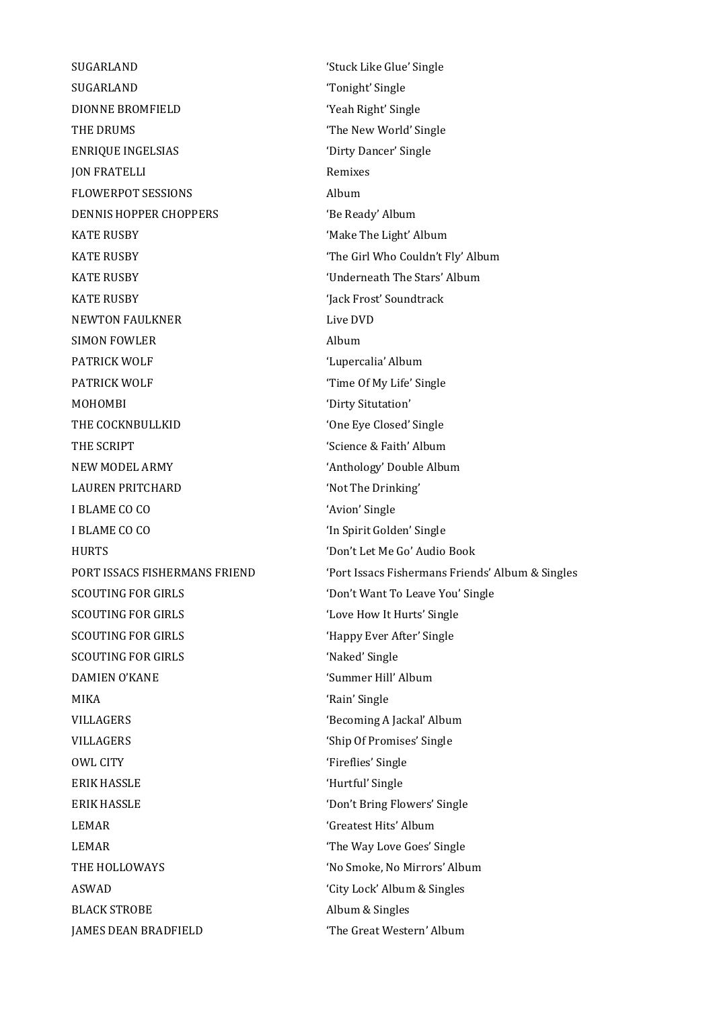SUGARLAND 'Tonight' Single DIONNE BROMFIELD 'Yeah Right' Single THE DRUMS THE URUMS ENRIQUE INGELSIAS 'Dirty Dancer' Single JON FRATELLI Remixes FLOWERPOT SESSIONS Album DENNIS HOPPER CHOPPERS 'Be Ready' Album KATE RUSBY 'Make The Light' Album KATE RUSBY **IN ALCOCATE THE GIRL WHO COULDN'T FIV' Album** KATE RUSBY 'Underneath The Stars' Album KATE RUSBY 'Jack Frost' Soundtrack NEWTON FAULKNER Live DVD SIMON FOWLER Album PATRICK WOLF 'Lupercalia' Album PATRICK WOLF 'Time Of My Life' Single MOHOMBI 'Dirty Situtation' THE COCKNBULLKID 'One Eye Closed' Single THE SCRIPT 'Science & Faith' Album NEW MODEL ARMY 'Anthology' Double Album LAUREN PRITCHARD 'Not The Drinking' I BLAME CO CO 'Avion' Single I BLAME CO CO 'In Spirit Golden' Single HURTS 'Don't Let Me Go' Audio Book SCOUTING FOR GIRLS 'Don't Want To Leave You' Single SCOUTING FOR GIRLS 'Love How It Hurts' Single SCOUTING FOR GIRLS 
<sup>'Happy Ever After' Single</sup> SCOUTING FOR GIRLS **SCOUTING** FOR GIRLS DAMIEN O'KANE 'Summer Hill' Album MIKA 'Rain' Single VILLAGERS 'Becoming A Jackal' Album VILLAGERS 'Ship Of Promises' Single OWL CITY THE CONSERVATION OF THE CONSERVATION OF THE CONSERVATION OF THE CONSERVATION OF THE CONSERVATION OF THE CONSERVATION OF THE CONSERVATION OF THE CONSERVATION OF THE CONSERVATION OF THE CONSERVATION OF THE CONSERVAT ERIK HASSLE 'Hurtful' Single ERIK HASSLE 'Don't Bring Flowers' Single LEMAR 'Greatest Hits' Album LEMAR 'The Way Love Goes' Single THE HOLLOWAYS 'No Smoke, No Mirrors' Album ASWAD 'City Lock' Album & Singles BLACK STROBE Album & Singles JAMES DEAN BRADFIELD 'The Great Western' Album

SUGARLAND 'Stuck Like Glue' Single PORT ISSACS FISHERMANS FRIEND 'Port Issacs Fishermans Friends' Album & Singles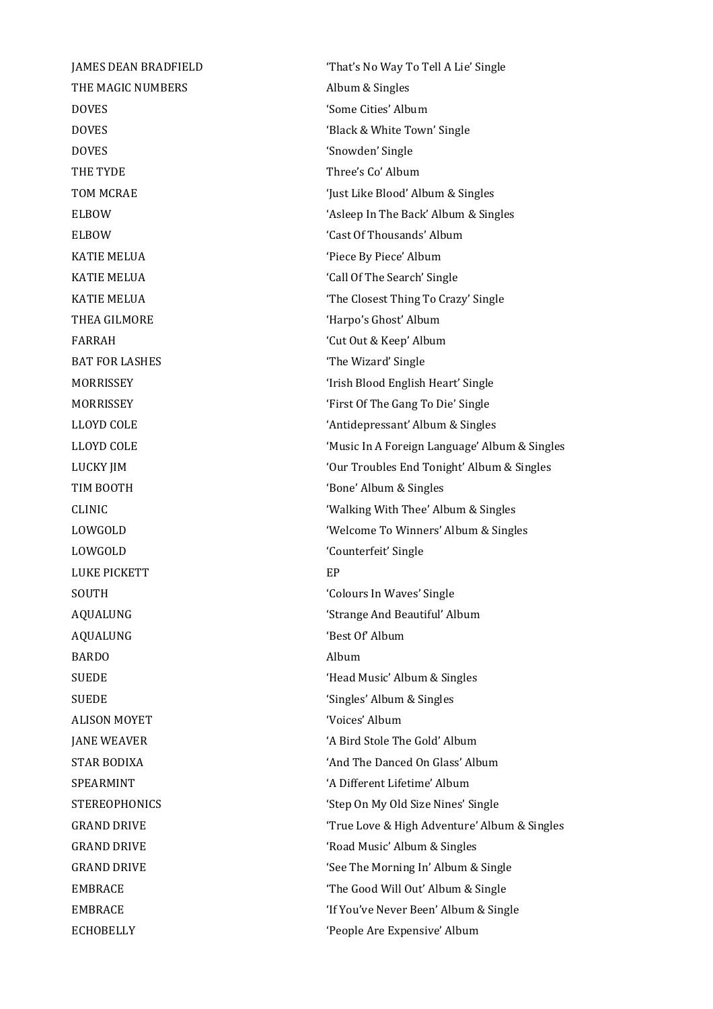THE MAGIC NUMBERS Album & Singles DOVES 'Some Cities' Album DOVES 'Snowden' Single THE TYDE THE TYPE THE TYPE THE TYPE THE TYPE THE TYPE THE TYPE THE TYPE THE TYPE THE TYPE THE TYPE THE TYPE THE TYPE THE TYPE THE TYPE THE TYPE THE TYPE THE TYPE THE TYPE THE TYPE THE TYPE THE TYPE THE TYPE THE TYPE THE TY KATIE MELUA  $'$ Piece By Piece' Album THEA GILMORE 'Harpo's Ghost' Album FARRAH 'Cut Out & Keep' Album BAT FOR LASHES **The Wizard' Single** TIM BOOTH 'Bone' Album & Singles LOWGOLD 'Counterfeit' Single LUKE PICKETT FREE EP SOUTH 'Colours In Waves' Single AQUALUNG 'Best Of' Album BARDO Album SUEDE 'Singles' Album & Singles ALISON MOYET 'Voices' Album

JAMES DEAN BRADFIELD 'That's No Way To Tell A Lie' Single DOVES 'Black & White Town' Single TOM MCRAE  $'$ Just Like Blood' Album & Singles ELBOW 'Asleep In The Back' Album & Singles ELBOW 'Cast Of Thousands' Album KATIE MELUA  $\qquad \qquad$  'Call Of The Search' Single KATIE MELUA **The Closest Thing To Crazy' Single** MORRISSEY 'Irish Blood English Heart' Single MORRISSEY 'First Of The Gang To Die' Single LLOYD COLE 'Antidepressant' Album & Singles LLOYD COLE 'Music In A Foreign Language' Album & Singles LUCKY JIM 'Our Troubles End Tonight' Album & Singles CLINIC 'Walking With Thee' Album & Singles LOWGOLD 'Welcome To Winners' Album & Singles AQUALUNG 'Strange And Beautiful' Album SUEDE 'Head Music' Album & Singles JANE WEAVER 'A Bird Stole The Gold' Album STAR BODIXA **STAR BODIXA** 'And The Danced On Glass' Album SPEARMINT 'A Different Lifetime' Album STEREOPHONICS 'Step On My Old Size Nines' Single GRAND DRIVE **True Love & High Adventure' Album & Singles** GRAND DRIVE 'Road Music' Album & Singles GRAND DRIVE **Supplemance COVID-SINGLE SECT** See The Morning In' Album & Single EMBRACE The Good Will Out' Album & Single EMBRACE 'If You've Never Been' Album & Single ECHOBELLY 'People Are Expensive' Album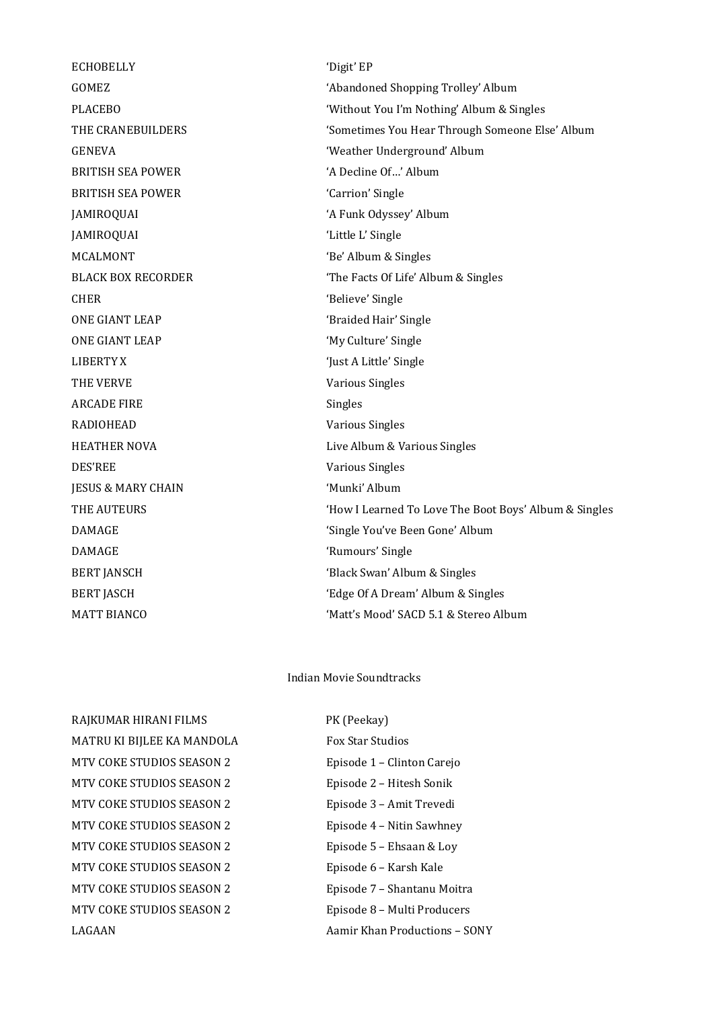ECHOBELLY 'Digit' EP BRITISH SEA POWER 'A Decline Of…' Album BRITISH SEA POWER 'Carrion' Single JAMIROQUAI 'A Funk Odyssey' Album JAMIROQUAI 'Little L' Single MCALMONT 'Be' Album & Singles CHER 'Believe' Single ONE GIANT LEAP 'Braided Hair' Single ONE GIANT LEAP 'My Culture' Single LIBERTY X 'Just A Little' Single THE VERVE **Various** Singles ARCADE FIRE Singles RADIOHEAD Various Singles DES'REE Various Singles JESUS & MARY CHAIN 'Munki' Album DAMAGE 'Rumours' Single

GOMEZ 'Abandoned Shopping Trolley' Album PLACEBO 'Without You I'm Nothing' Album & Singles THE CRANEBUILDERS 'Sometimes You Hear Through Someone Else' Album GENEVA 'Weather Underground' Album BLACK BOX RECORDER 'The Facts Of Life' Album & Singles HEATHER NOVA Live Album & Various Singles THE AUTEURS 'How I Learned To Love The Boot Boys' Album & Singles DAMAGE 'Single You've Been Gone' Album BERT JANSCH 'Black Swan' Album & Singles BERT JASCH 'Edge Of A Dream' Album & Singles MATT BIANCO **SACCH TERM** (Matt's Mood' SACD 5.1 & Stereo Album

## Indian Movie Soundtracks

RAJKUMAR HIRANI FILMS PK (Peekay) MATRU KI BIJLEE KA MANDOLA Fox Star Studios MTV COKE STUDIOS SEASON 2 Episode 1 – Clinton Carejo MTV COKE STUDIOS SEASON 2 Episode 2 – Hitesh Sonik MTV COKE STUDIOS SEASON 2 Episode 3 - Amit Trevedi MTV COKE STUDIOS SEASON 2 Episode 4 – Nitin Sawhney MTV COKE STUDIOS SEASON 2 Episode 5 – Ehsaan & Loy MTV COKE STUDIOS SEASON 2 Episode 6 - Karsh Kale MTV COKE STUDIOS SEASON 2 Episode 7 - Shantanu Moitra MTV COKE STUDIOS SEASON 2 Episode 8 – Multi Producers LAGAAN Aamir Khan Productions – SONY